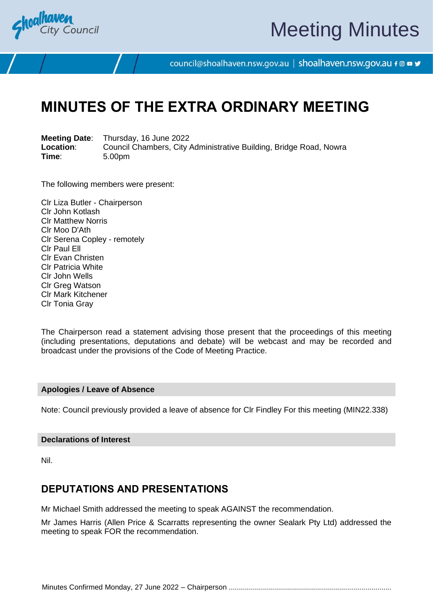

# Meeting Minutes

council@shoalhaven.nsw.gov.au | shoalhaven.nsw.gov.au f @ ■ y

# **MINUTES OF THE EXTRA ORDINARY MEETING**

**Meeting Date**: Thursday, 16 June 2022 **Location:** Council Chambers, City Administrative Building, Bridge Road, Nowra<br>
Time: 5.00pm **Time**: 5.00pm

The following members were present:

Clr Liza Butler - Chairperson Clr John Kotlash Clr Matthew Norris Clr Moo D'Ath Clr Serena Copley - remotely Clr Paul Ell Clr Evan Christen Clr Patricia White Clr John Wells Clr Greg Watson Clr Mark Kitchener Clr Tonia Gray

The Chairperson read a statement advising those present that the proceedings of this meeting (including presentations, deputations and debate) will be webcast and may be recorded and broadcast under the provisions of the Code of Meeting Practice.

### **Apologies / Leave of Absence**

Note: Council previously provided a leave of absence for Clr Findley For this meeting (MIN22.338)

## **Declarations of Interest**

Nil.

# **DEPUTATIONS AND PRESENTATIONS**

Mr Michael Smith addressed the meeting to speak AGAINST the recommendation.

Mr James Harris (Allen Price & Scarratts representing the owner Sealark Pty Ltd) addressed the meeting to speak FOR the recommendation.